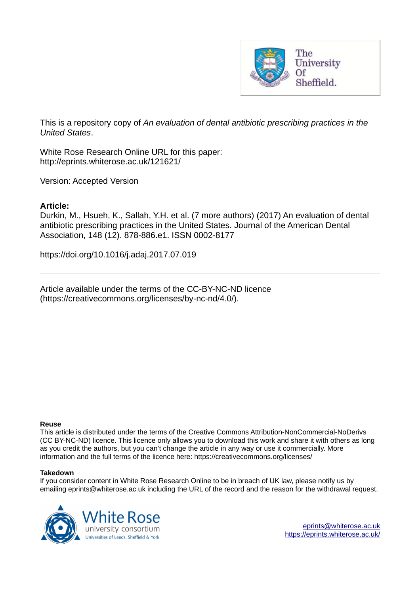

This is a repository copy of *An evaluation of dental antibiotic prescribing practices in the United States*.

White Rose Research Online URL for this paper: http://eprints.whiterose.ac.uk/121621/

Version: Accepted Version

## **Article:**

Durkin, M., Hsueh, K., Sallah, Y.H. et al. (7 more authors) (2017) An evaluation of dental antibiotic prescribing practices in the United States. Journal of the American Dental Association, 148 (12). 878-886.e1. ISSN 0002-8177

https://doi.org/10.1016/j.adaj.2017.07.019

Article available under the terms of the CC-BY-NC-ND licence (https://creativecommons.org/licenses/by-nc-nd/4.0/).

#### **Reuse**

This article is distributed under the terms of the Creative Commons Attribution-NonCommercial-NoDerivs (CC BY-NC-ND) licence. This licence only allows you to download this work and share it with others as long as you credit the authors, but you can't change the article in any way or use it commercially. More information and the full terms of the licence here: https://creativecommons.org/licenses/

#### **Takedown**

If you consider content in White Rose Research Online to be in breach of UK law, please notify us by emailing eprints@whiterose.ac.uk including the URL of the record and the reason for the withdrawal request.

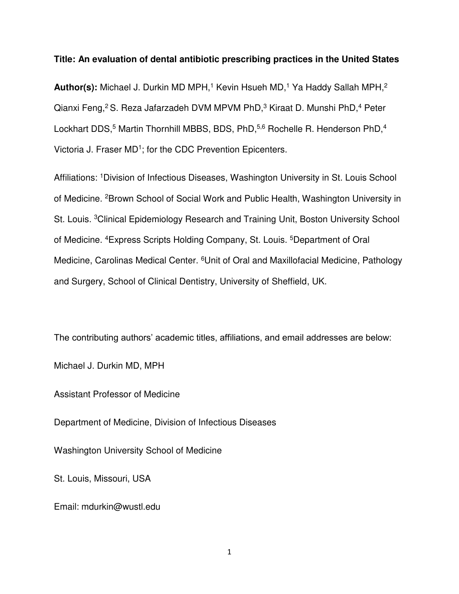### **Title: An evaluation of dental antibiotic prescribing practices in the United States**

**Author(s):** Michael J. Durkin MD MPH,<sup>1</sup> Kevin Hsueh MD,<sup>1</sup> Ya Haddy Sallah MPH,<sup>2</sup> Qianxi Feng,<sup>2</sup> S. Reza Jafarzadeh DVM MPVM PhD,<sup>3</sup> Kiraat D. Munshi PhD,<sup>4</sup> Peter Lockhart DDS,<sup>5</sup> Martin Thornhill MBBS, BDS, PhD,<sup>5,6</sup> Rochelle R. Henderson PhD,<sup>4</sup> Victoria J. Fraser MD<sup>1</sup>; for the CDC Prevention Epicenters.

Affiliations: <sup>1</sup>Division of Infectious Diseases, Washington University in St. Louis School of Medicine. <sup>2</sup>Brown School of Social Work and Public Health, Washington University in St. Louis. <sup>3</sup>Clinical Epidemiology Research and Training Unit, Boston University School of Medicine. <sup>4</sup>Express Scripts Holding Company, St. Louis. <sup>5</sup>Department of Oral Medicine, Carolinas Medical Center. <sup>6</sup>Unit of Oral and Maxillofacial Medicine, Pathology and Surgery, School of Clinical Dentistry, University of Sheffield, UK.

The contributing authors' academic titles, affiliations, and email addresses are below:

Michael J. Durkin MD, MPH

Assistant Professor of Medicine

Department of Medicine, Division of Infectious Diseases

Washington University School of Medicine

St. Louis, Missouri, USA

Email: mdurkin@wustl.edu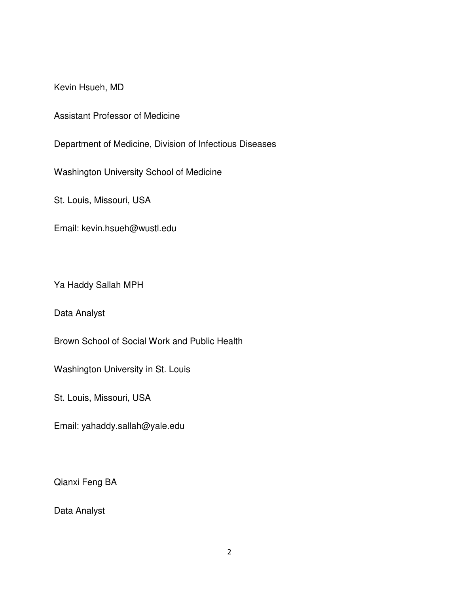Kevin Hsueh, MD

Assistant Professor of Medicine

Department of Medicine, Division of Infectious Diseases

Washington University School of Medicine

St. Louis, Missouri, USA

Email: kevin.hsueh@wustl.edu

Ya Haddy Sallah MPH

Data Analyst

Brown School of Social Work and Public Health

Washington University in St. Louis

St. Louis, Missouri, USA

Email: yahaddy.sallah@yale.edu

Qianxi Feng BA

Data Analyst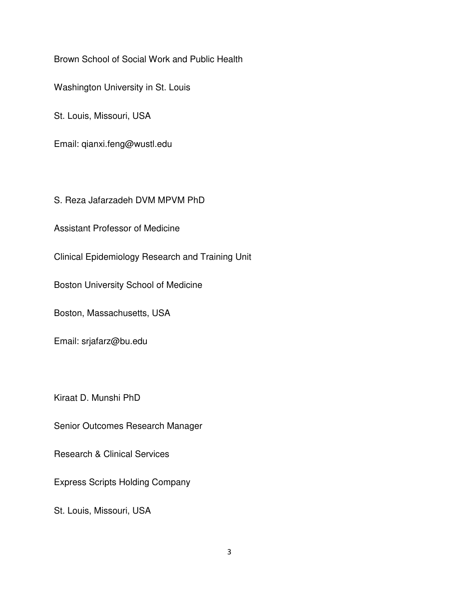Brown School of Social Work and Public Health

Washington University in St. Louis

St. Louis, Missouri, USA

Email: qianxi.feng@wustl.edu

S. Reza Jafarzadeh DVM MPVM PhD

Assistant Professor of Medicine

Clinical Epidemiology Research and Training Unit

Boston University School of Medicine

Boston, Massachusetts, USA

Email: srjafarz@bu.edu

Kiraat D. Munshi PhD

Senior Outcomes Research Manager

Research & Clinical Services

Express Scripts Holding Company

St. Louis, Missouri, USA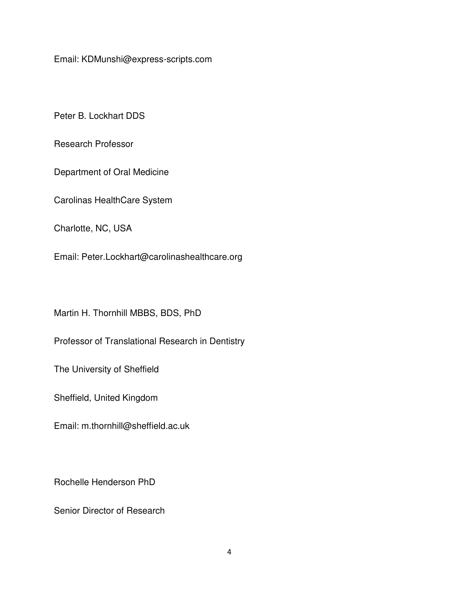Email: KDMunshi@express-scripts.com

Peter B. Lockhart DDS

Research Professor

Department of Oral Medicine

Carolinas HealthCare System

Charlotte, NC, USA

Email: Peter.Lockhart@carolinashealthcare.org

Martin H. Thornhill MBBS, BDS, PhD

Professor of Translational Research in Dentistry

The University of Sheffield

Sheffield, United Kingdom

Email: m.thornhill@sheffield.ac.uk

Rochelle Henderson PhD

Senior Director of Research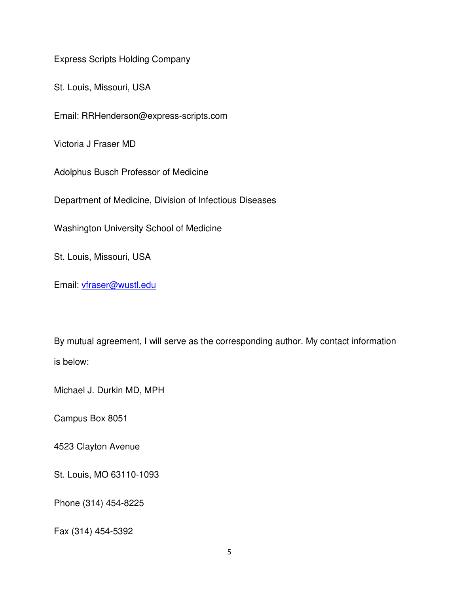Express Scripts Holding Company

St. Louis, Missouri, USA

Email: RRHenderson@express-scripts.com

Victoria J Fraser MD

Adolphus Busch Professor of Medicine

Department of Medicine, Division of Infectious Diseases

Washington University School of Medicine

St. Louis, Missouri, USA

Email: [vfraser@wustl.edu](mailto:vfraser@wustl.edu)

By mutual agreement, I will serve as the corresponding author. My contact information is below:

Michael J. Durkin MD, MPH

Campus Box 8051

4523 Clayton Avenue

St. Louis, MO 63110-1093

Phone (314) 454-8225

Fax (314) 454-5392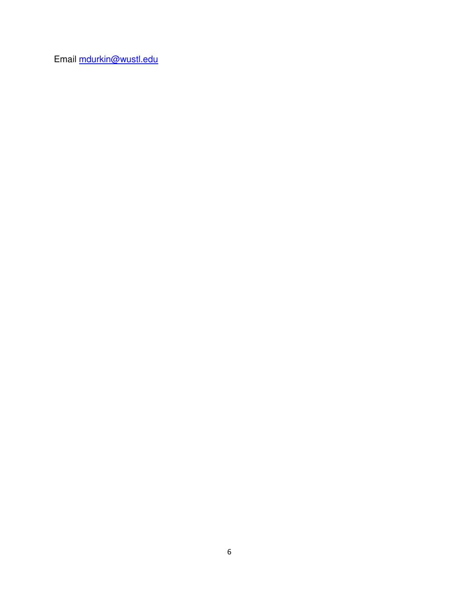Email [mdurkin@wustl.edu](mailto:mdurkin@wustl.edu)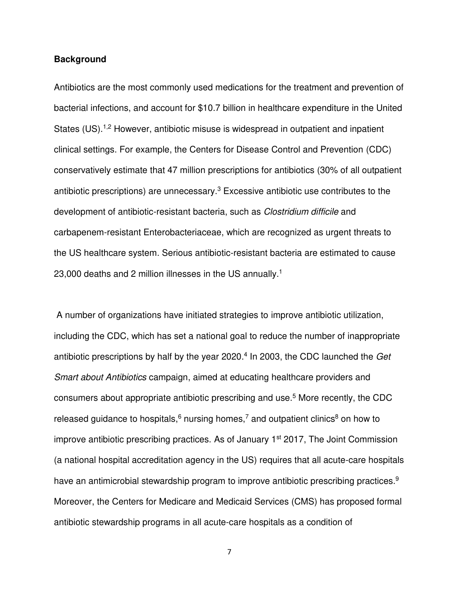## **Background**

Antibiotics are the most commonly used medications for the treatment and prevention of bacterial infections, and account for \$10.7 billion in healthcare expenditure in the United States (US).<sup>1,2</sup> However, antibiotic misuse is widespread in outpatient and inpatient clinical settings. For example, the Centers for Disease Control and Prevention (CDC) conservatively estimate that 47 million prescriptions for antibiotics (30% of all outpatient antibiotic prescriptions) are unnecessary. $3$  Excessive antibiotic use contributes to the development of antibiotic-resistant bacteria, such as *Clostridium difficile* and carbapenem-resistant Enterobacteriaceae, which are recognized as urgent threats to the US healthcare system. Serious antibiotic-resistant bacteria are estimated to cause 23,000 deaths and 2 million illnesses in the US annually.<sup>1</sup>

 A number of organizations have initiated strategies to improve antibiotic utilization, including the CDC, which has set a national goal to reduce the number of inappropriate antibiotic prescriptions by half by the year 2020.<sup>4</sup> In 2003, the CDC launched the Get Smart about Antibiotics campaign, aimed at educating healthcare providers and consumers about appropriate antibiotic prescribing and use.<sup>5</sup> More recently, the CDC released guidance to hospitals,  $6$  nursing homes,  $7$  and outpatient clinics  $8$  on how to improve antibiotic prescribing practices. As of January 1<sup>st</sup> 2017, The Joint Commission (a national hospital accreditation agency in the US) requires that all acute-care hospitals have an antimicrobial stewardship program to improve antibiotic prescribing practices.<sup>9</sup> Moreover, the Centers for Medicare and Medicaid Services (CMS) has proposed formal antibiotic stewardship programs in all acute-care hospitals as a condition of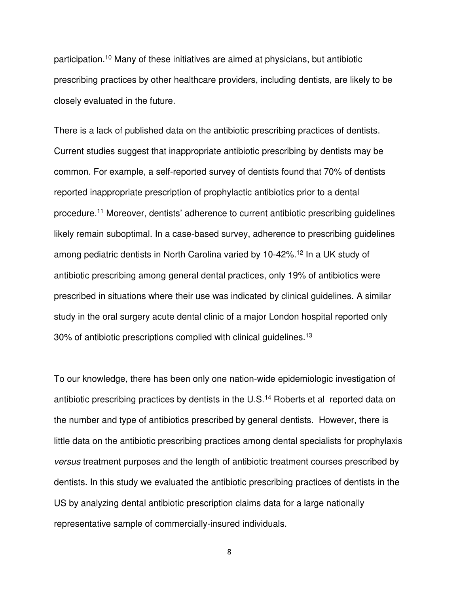participation.<sup>10</sup> Many of these initiatives are aimed at physicians, but antibiotic prescribing practices by other healthcare providers, including dentists, are likely to be closely evaluated in the future.

There is a lack of published data on the antibiotic prescribing practices of dentists. Current studies suggest that inappropriate antibiotic prescribing by dentists may be common. For example, a self-reported survey of dentists found that 70% of dentists reported inappropriate prescription of prophylactic antibiotics prior to a dental procedure.<sup>11</sup> Moreover, dentists' adherence to current antibiotic prescribing guidelines likely remain suboptimal. In a case-based survey, adherence to prescribing guidelines among pediatric dentists in North Carolina varied by 10-42%.<sup>12</sup> In a UK study of antibiotic prescribing among general dental practices, only 19% of antibiotics were prescribed in situations where their use was indicated by clinical guidelines. A similar study in the oral surgery acute dental clinic of a major London hospital reported only 30% of antibiotic prescriptions complied with clinical guidelines.<sup>13</sup>

To our knowledge, there has been only one nation-wide epidemiologic investigation of antibiotic prescribing practices by dentists in the U.S.<sup>14</sup> Roberts et al reported data on the number and type of antibiotics prescribed by general dentists. However, there is little data on the antibiotic prescribing practices among dental specialists for prophylaxis versus treatment purposes and the length of antibiotic treatment courses prescribed by dentists. In this study we evaluated the antibiotic prescribing practices of dentists in the US by analyzing dental antibiotic prescription claims data for a large nationally representative sample of commercially-insured individuals.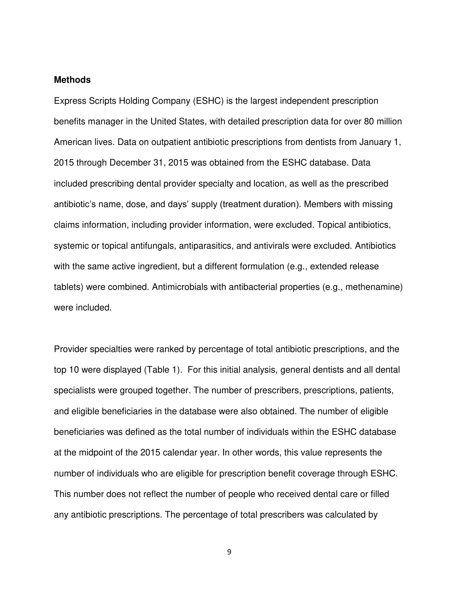## **Methods**

Express Scripts Holding Company (ESHC) is the largest independent prescription benefits manager in the United States, with detailed prescription data for over 80 million American lives. Data on outpatient antibiotic prescriptions from dentists from January 1, 2015 through December 31, 2015 was obtained from the ESHC database. Data included prescribing dental provider specialty and location, as well as the prescribed antibiotic's name, dose, and days' supply (treatment duration). Members with missing claims information, including provider information, were excluded. Topical antibiotics, systemic or topical antifungals, antiparasitics, and antivirals were excluded. Antibiotics with the same active ingredient, but a different formulation (e.g., extended release tablets) were combined. Antimicrobials with antibacterial properties (e.g., methenamine) were included.

Provider specialties were ranked by percentage of total antibiotic prescriptions, and the top 10 were displayed (Table 1). For this initial analysis, general dentists and all dental specialists were grouped together. The number of prescribers, prescriptions, patients, and eligible beneficiaries in the database were also obtained. The number of eligible beneficiaries was defined as the total number of individuals within the ESHC database at the midpoint of the 2015 calendar year. In other words, this value represents the number of individuals who are eligible for prescription benefit coverage through ESHC. This number does not reflect the number of people who received dental care or filled any antibiotic prescriptions. The percentage of total prescribers was calculated by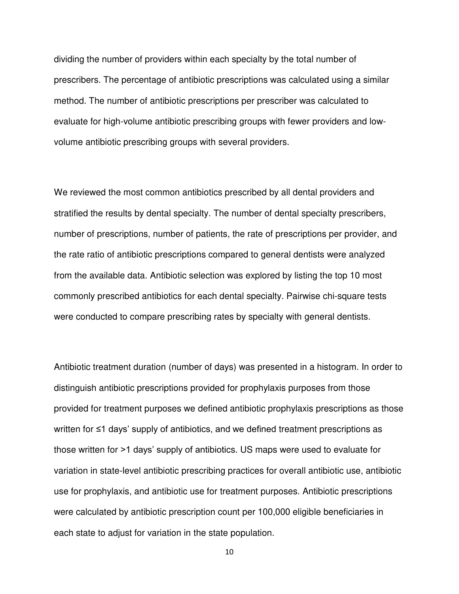dividing the number of providers within each specialty by the total number of prescribers. The percentage of antibiotic prescriptions was calculated using a similar method. The number of antibiotic prescriptions per prescriber was calculated to evaluate for high-volume antibiotic prescribing groups with fewer providers and lowvolume antibiotic prescribing groups with several providers.

We reviewed the most common antibiotics prescribed by all dental providers and stratified the results by dental specialty. The number of dental specialty prescribers, number of prescriptions, number of patients, the rate of prescriptions per provider, and the rate ratio of antibiotic prescriptions compared to general dentists were analyzed from the available data. Antibiotic selection was explored by listing the top 10 most commonly prescribed antibiotics for each dental specialty. Pairwise chi-square tests were conducted to compare prescribing rates by specialty with general dentists.

Antibiotic treatment duration (number of days) was presented in a histogram. In order to distinguish antibiotic prescriptions provided for prophylaxis purposes from those provided for treatment purposes we defined antibiotic prophylaxis prescriptions as those written for ≤1 days' supply of antibiotics, and we defined treatment prescriptions as those written for >1 days' supply of antibiotics. US maps were used to evaluate for variation in state-level antibiotic prescribing practices for overall antibiotic use, antibiotic use for prophylaxis, and antibiotic use for treatment purposes. Antibiotic prescriptions were calculated by antibiotic prescription count per 100,000 eligible beneficiaries in each state to adjust for variation in the state population.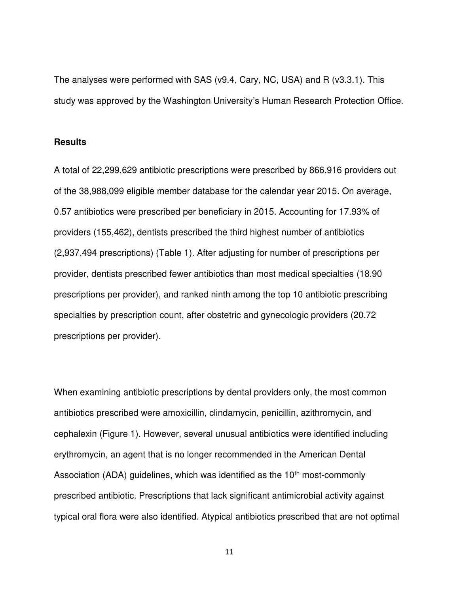The analyses were performed with SAS (v9.4, Cary, NC, USA) and R (v3.3.1). This study was approved by the Washington University's Human Research Protection Office.

# **Results**

A total of 22,299,629 antibiotic prescriptions were prescribed by 866,916 providers out of the 38,988,099 eligible member database for the calendar year 2015. On average, 0.57 antibiotics were prescribed per beneficiary in 2015. Accounting for 17.93% of providers (155,462), dentists prescribed the third highest number of antibiotics (2,937,494 prescriptions) (Table 1). After adjusting for number of prescriptions per provider, dentists prescribed fewer antibiotics than most medical specialties (18.90 prescriptions per provider), and ranked ninth among the top 10 antibiotic prescribing specialties by prescription count, after obstetric and gynecologic providers (20.72 prescriptions per provider).

When examining antibiotic prescriptions by dental providers only, the most common antibiotics prescribed were amoxicillin, clindamycin, penicillin, azithromycin, and cephalexin (Figure 1). However, several unusual antibiotics were identified including erythromycin, an agent that is no longer recommended in the American Dental Association (ADA) quidelines, which was identified as the  $10<sup>th</sup>$  most-commonly prescribed antibiotic. Prescriptions that lack significant antimicrobial activity against typical oral flora were also identified. Atypical antibiotics prescribed that are not optimal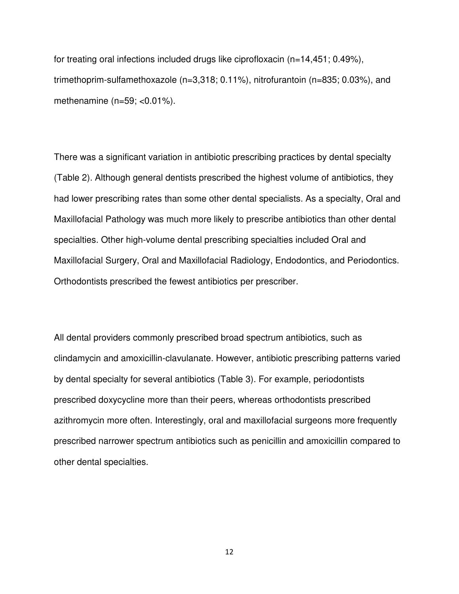for treating oral infections included drugs like ciprofloxacin  $(n=14,451; 0.49\%)$ , trimethoprim-sulfamethoxazole (n=3,318; 0.11%), nitrofurantoin (n=835; 0.03%), and methenamine  $(n=59; <0.01\%)$ .

There was a significant variation in antibiotic prescribing practices by dental specialty (Table 2). Although general dentists prescribed the highest volume of antibiotics, they had lower prescribing rates than some other dental specialists. As a specialty, Oral and Maxillofacial Pathology was much more likely to prescribe antibiotics than other dental specialties. Other high-volume dental prescribing specialties included Oral and Maxillofacial Surgery, Oral and Maxillofacial Radiology, Endodontics, and Periodontics. Orthodontists prescribed the fewest antibiotics per prescriber.

All dental providers commonly prescribed broad spectrum antibiotics, such as clindamycin and amoxicillin-clavulanate. However, antibiotic prescribing patterns varied by dental specialty for several antibiotics (Table 3). For example, periodontists prescribed doxycycline more than their peers, whereas orthodontists prescribed azithromycin more often. Interestingly, oral and maxillofacial surgeons more frequently prescribed narrower spectrum antibiotics such as penicillin and amoxicillin compared to other dental specialties.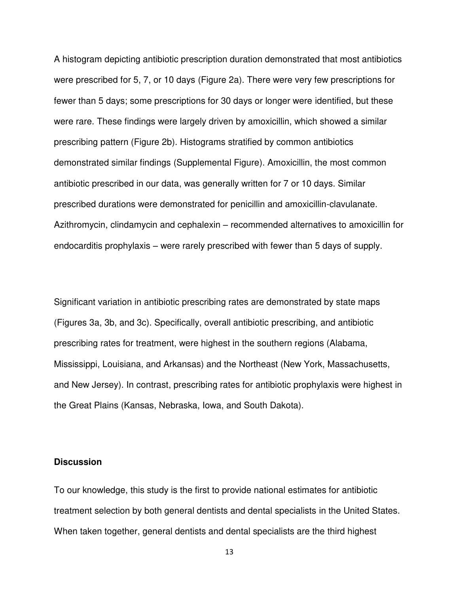A histogram depicting antibiotic prescription duration demonstrated that most antibiotics were prescribed for 5, 7, or 10 days (Figure 2a). There were very few prescriptions for fewer than 5 days; some prescriptions for 30 days or longer were identified, but these were rare. These findings were largely driven by amoxicillin, which showed a similar prescribing pattern (Figure 2b). Histograms stratified by common antibiotics demonstrated similar findings (Supplemental Figure). Amoxicillin, the most common antibiotic prescribed in our data, was generally written for 7 or 10 days. Similar prescribed durations were demonstrated for penicillin and amoxicillin-clavulanate. Azithromycin, clindamycin and cephalexin – recommended alternatives to amoxicillin for endocarditis prophylaxis – were rarely prescribed with fewer than 5 days of supply.

Significant variation in antibiotic prescribing rates are demonstrated by state maps (Figures 3a, 3b, and 3c). Specifically, overall antibiotic prescribing, and antibiotic prescribing rates for treatment, were highest in the southern regions (Alabama, Mississippi, Louisiana, and Arkansas) and the Northeast (New York, Massachusetts, and New Jersey). In contrast, prescribing rates for antibiotic prophylaxis were highest in the Great Plains (Kansas, Nebraska, Iowa, and South Dakota).

# **Discussion**

To our knowledge, this study is the first to provide national estimates for antibiotic treatment selection by both general dentists and dental specialists in the United States. When taken together, general dentists and dental specialists are the third highest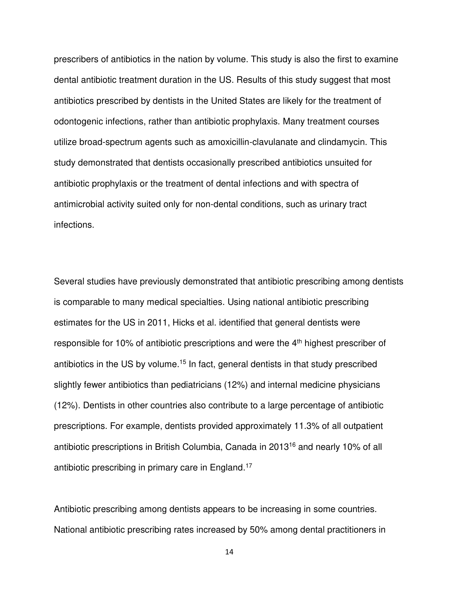prescribers of antibiotics in the nation by volume. This study is also the first to examine dental antibiotic treatment duration in the US. Results of this study suggest that most antibiotics prescribed by dentists in the United States are likely for the treatment of odontogenic infections, rather than antibiotic prophylaxis. Many treatment courses utilize broad-spectrum agents such as amoxicillin-clavulanate and clindamycin. This study demonstrated that dentists occasionally prescribed antibiotics unsuited for antibiotic prophylaxis or the treatment of dental infections and with spectra of antimicrobial activity suited only for non-dental conditions, such as urinary tract infections.

Several studies have previously demonstrated that antibiotic prescribing among dentists is comparable to many medical specialties. Using national antibiotic prescribing estimates for the US in 2011, Hicks et al. identified that general dentists were responsible for 10% of antibiotic prescriptions and were the  $4<sup>th</sup>$  highest prescriber of antibiotics in the US by volume.<sup>15</sup> In fact, general dentists in that study prescribed slightly fewer antibiotics than pediatricians (12%) and internal medicine physicians (12%). Dentists in other countries also contribute to a large percentage of antibiotic prescriptions. For example, dentists provided approximately 11.3% of all outpatient antibiotic prescriptions in British Columbia, Canada in 2013<sup>16</sup> and nearly 10% of all antibiotic prescribing in primary care in England.<sup>17</sup>

Antibiotic prescribing among dentists appears to be increasing in some countries. National antibiotic prescribing rates increased by 50% among dental practitioners in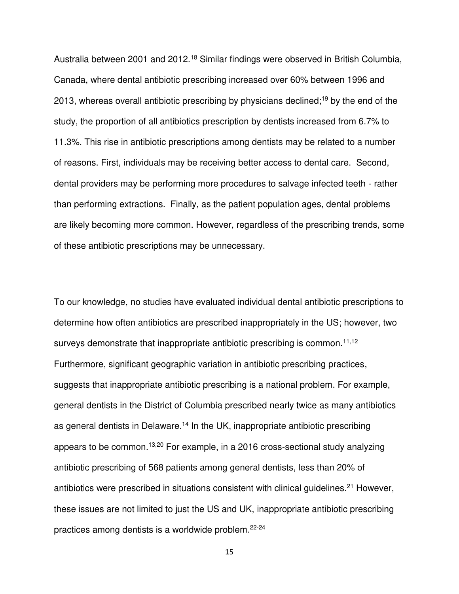Australia between 2001 and 2012.<sup>18</sup> Similar findings were observed in British Columbia, Canada, where dental antibiotic prescribing increased over 60% between 1996 and 2013, whereas overall antibiotic prescribing by physicians declined;<sup>19</sup> by the end of the study, the proportion of all antibiotics prescription by dentists increased from 6.7% to 11.3%. This rise in antibiotic prescriptions among dentists may be related to a number of reasons. First, individuals may be receiving better access to dental care. Second, dental providers may be performing more procedures to salvage infected teeth - rather than performing extractions. Finally, as the patient population ages, dental problems are likely becoming more common. However, regardless of the prescribing trends, some of these antibiotic prescriptions may be unnecessary.

To our knowledge, no studies have evaluated individual dental antibiotic prescriptions to determine how often antibiotics are prescribed inappropriately in the US; however, two surveys demonstrate that inappropriate antibiotic prescribing is common.<sup>11,12</sup> Furthermore, significant geographic variation in antibiotic prescribing practices, suggests that inappropriate antibiotic prescribing is a national problem. For example, general dentists in the District of Columbia prescribed nearly twice as many antibiotics as general dentists in Delaware.<sup>14</sup> In the UK, inappropriate antibiotic prescribing appears to be common.13,20 For example, in a 2016 cross-sectional study analyzing antibiotic prescribing of 568 patients among general dentists, less than 20% of antibiotics were prescribed in situations consistent with clinical guidelines.<sup>21</sup> However, these issues are not limited to just the US and UK, inappropriate antibiotic prescribing practices among dentists is a worldwide problem.22-24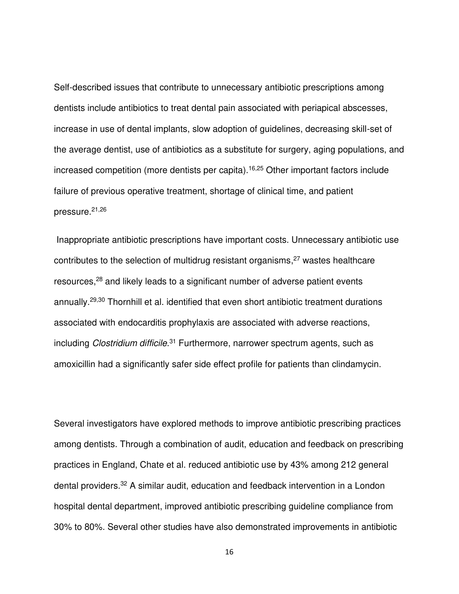Self-described issues that contribute to unnecessary antibiotic prescriptions among dentists include antibiotics to treat dental pain associated with periapical abscesses, increase in use of dental implants, slow adoption of guidelines, decreasing skill-set of the average dentist, use of antibiotics as a substitute for surgery, aging populations, and increased competition (more dentists per capita).16,25 Other important factors include failure of previous operative treatment, shortage of clinical time, and patient pressure.21,26

 Inappropriate antibiotic prescriptions have important costs. Unnecessary antibiotic use contributes to the selection of multidrug resistant organisms,<sup>27</sup> wastes healthcare resources,<sup>28</sup> and likely leads to a significant number of adverse patient events annually.29,30 Thornhill et al. identified that even short antibiotic treatment durations associated with endocarditis prophylaxis are associated with adverse reactions, including Clostridium difficile.<sup>31</sup> Furthermore, narrower spectrum agents, such as amoxicillin had a significantly safer side effect profile for patients than clindamycin.

Several investigators have explored methods to improve antibiotic prescribing practices among dentists. Through a combination of audit, education and feedback on prescribing practices in England, Chate et al. reduced antibiotic use by 43% among 212 general dental providers.<sup>32</sup> A similar audit, education and feedback intervention in a London hospital dental department, improved antibiotic prescribing guideline compliance from 30% to 80%. Several other studies have also demonstrated improvements in antibiotic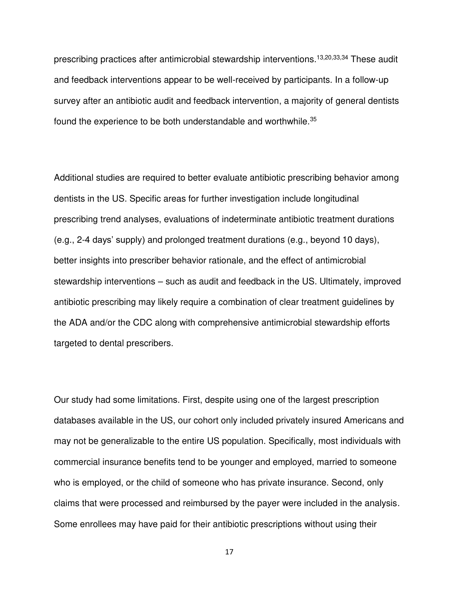prescribing practices after antimicrobial stewardship interventions.13,20,33,34 These audit and feedback interventions appear to be well-received by participants. In a follow-up survey after an antibiotic audit and feedback intervention, a majority of general dentists found the experience to be both understandable and worthwhile.<sup>35</sup>

Additional studies are required to better evaluate antibiotic prescribing behavior among dentists in the US. Specific areas for further investigation include longitudinal prescribing trend analyses, evaluations of indeterminate antibiotic treatment durations (e.g., 2-4 days' supply) and prolonged treatment durations (e.g., beyond 10 days), better insights into prescriber behavior rationale, and the effect of antimicrobial stewardship interventions – such as audit and feedback in the US. Ultimately, improved antibiotic prescribing may likely require a combination of clear treatment guidelines by the ADA and/or the CDC along with comprehensive antimicrobial stewardship efforts targeted to dental prescribers.

Our study had some limitations. First, despite using one of the largest prescription databases available in the US, our cohort only included privately insured Americans and may not be generalizable to the entire US population. Specifically, most individuals with commercial insurance benefits tend to be younger and employed, married to someone who is employed, or the child of someone who has private insurance. Second, only claims that were processed and reimbursed by the payer were included in the analysis. Some enrollees may have paid for their antibiotic prescriptions without using their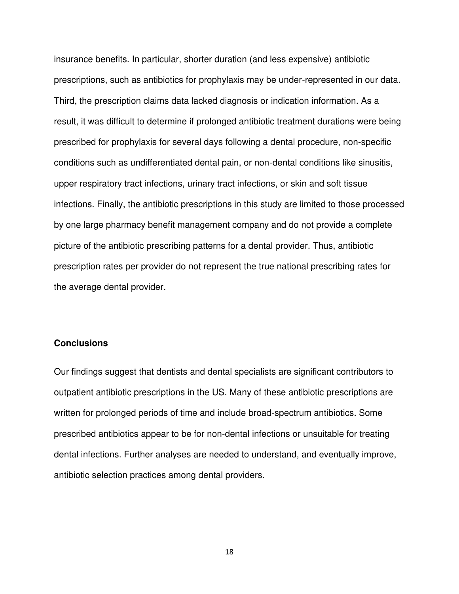insurance benefits. In particular, shorter duration (and less expensive) antibiotic prescriptions, such as antibiotics for prophylaxis may be under-represented in our data. Third, the prescription claims data lacked diagnosis or indication information. As a result, it was difficult to determine if prolonged antibiotic treatment durations were being prescribed for prophylaxis for several days following a dental procedure, non-specific conditions such as undifferentiated dental pain, or non-dental conditions like sinusitis, upper respiratory tract infections, urinary tract infections, or skin and soft tissue infections. Finally, the antibiotic prescriptions in this study are limited to those processed by one large pharmacy benefit management company and do not provide a complete picture of the antibiotic prescribing patterns for a dental provider. Thus, antibiotic prescription rates per provider do not represent the true national prescribing rates for the average dental provider.

# **Conclusions**

Our findings suggest that dentists and dental specialists are significant contributors to outpatient antibiotic prescriptions in the US. Many of these antibiotic prescriptions are written for prolonged periods of time and include broad-spectrum antibiotics. Some prescribed antibiotics appear to be for non-dental infections or unsuitable for treating dental infections. Further analyses are needed to understand, and eventually improve, antibiotic selection practices among dental providers.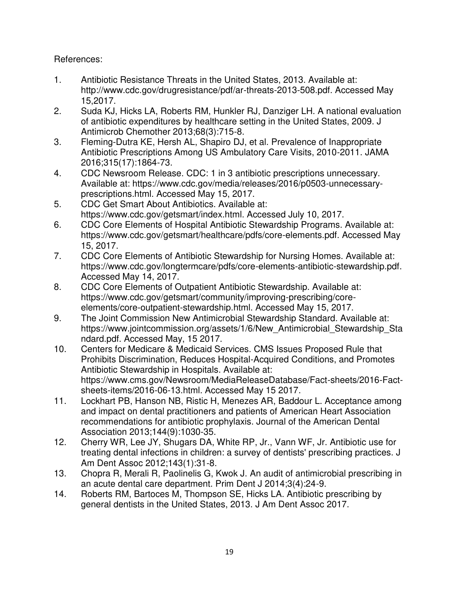References:

- 1. Antibiotic Resistance Threats in the United States, 2013. Available at: http://www.cdc.gov/drugresistance/pdf/ar-threats-2013-508.pdf. Accessed May 15,2017.
- 2. Suda KJ, Hicks LA, Roberts RM, Hunkler RJ, Danziger LH. A national evaluation of antibiotic expenditures by healthcare setting in the United States, 2009. J Antimicrob Chemother 2013;68(3):715-8.
- 3. Fleming-Dutra KE, Hersh AL, Shapiro DJ, et al. Prevalence of Inappropriate Antibiotic Prescriptions Among US Ambulatory Care Visits, 2010-2011. JAMA 2016;315(17):1864-73.
- 4. CDC Newsroom Release. CDC: 1 in 3 antibiotic prescriptions unnecessary. Available at: https://www.cdc.gov/media/releases/2016/p0503-unnecessaryprescriptions.html. Accessed May 15, 2017.
- 5. CDC Get Smart About Antibiotics. Available at: https://www.cdc.gov/getsmart/index.html. Accessed July 10, 2017.
- 6. CDC Core Elements of Hospital Antibiotic Stewardship Programs. Available at: https://www.cdc.gov/getsmart/healthcare/pdfs/core-elements.pdf. Accessed May 15, 2017.
- 7. CDC Core Elements of Antibiotic Stewardship for Nursing Homes. Available at: https://www.cdc.gov/longtermcare/pdfs/core-elements-antibiotic-stewardship.pdf. Accessed May 14, 2017.
- 8. CDC Core Elements of Outpatient Antibiotic Stewardship. Available at: https://www.cdc.gov/getsmart/community/improving-prescribing/coreelements/core-outpatient-stewardship.html. Accessed May 15, 2017.
- 9. The Joint Commission New Antimicrobial Stewardship Standard. Available at: https://www.jointcommission.org/assets/1/6/New Antimicrobial Stewardship Sta ndard.pdf. Accessed May, 15 2017.
- 10. Centers for Medicare & Medicaid Services. CMS Issues Proposed Rule that Prohibits Discrimination, Reduces Hospital-Acquired Conditions, and Promotes Antibiotic Stewardship in Hospitals. Available at: https://www.cms.gov/Newsroom/MediaReleaseDatabase/Fact-sheets/2016-Factsheets-items/2016-06-13.html. Accessed May 15 2017.
- 11. Lockhart PB, Hanson NB, Ristic H, Menezes AR, Baddour L. Acceptance among and impact on dental practitioners and patients of American Heart Association recommendations for antibiotic prophylaxis. Journal of the American Dental Association 2013;144(9):1030-35.
- 12. Cherry WR, Lee JY, Shugars DA, White RP, Jr., Vann WF, Jr. Antibiotic use for treating dental infections in children: a survey of dentists' prescribing practices. J Am Dent Assoc 2012;143(1):31-8.
- 13. Chopra R, Merali R, Paolinelis G, Kwok J. An audit of antimicrobial prescribing in an acute dental care department. Prim Dent J 2014;3(4):24-9.
- 14. Roberts RM, Bartoces M, Thompson SE, Hicks LA. Antibiotic prescribing by general dentists in the United States, 2013. J Am Dent Assoc 2017.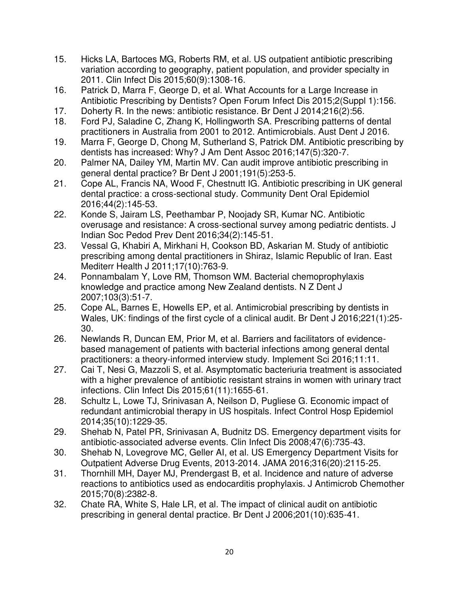- 15. Hicks LA, Bartoces MG, Roberts RM, et al. US outpatient antibiotic prescribing variation according to geography, patient population, and provider specialty in 2011. Clin Infect Dis 2015;60(9):1308-16.
- 16. Patrick D, Marra F, George D, et al. What Accounts for a Large Increase in Antibiotic Prescribing by Dentists? Open Forum Infect Dis 2015;2(Suppl 1):156.
- 17. Doherty R. In the news: antibiotic resistance. Br Dent J 2014;216(2):56.
- 18. Ford PJ, Saladine C, Zhang K, Hollingworth SA. Prescribing patterns of dental practitioners in Australia from 2001 to 2012. Antimicrobials. Aust Dent J 2016.
- 19. Marra F, George D, Chong M, Sutherland S, Patrick DM. Antibiotic prescribing by dentists has increased: Why? J Am Dent Assoc 2016;147(5):320-7.
- 20. Palmer NA, Dailey YM, Martin MV. Can audit improve antibiotic prescribing in general dental practice? Br Dent J 2001;191(5):253-5.
- 21. Cope AL, Francis NA, Wood F, Chestnutt IG. Antibiotic prescribing in UK general dental practice: a cross-sectional study. Community Dent Oral Epidemiol 2016;44(2):145-53.
- 22. Konde S, Jairam LS, Peethambar P, Noojady SR, Kumar NC. Antibiotic overusage and resistance: A cross-sectional survey among pediatric dentists. J Indian Soc Pedod Prev Dent 2016;34(2):145-51.
- 23. Vessal G, Khabiri A, Mirkhani H, Cookson BD, Askarian M. Study of antibiotic prescribing among dental practitioners in Shiraz, Islamic Republic of Iran. East Mediterr Health J 2011;17(10):763-9.
- 24. Ponnambalam Y, Love RM, Thomson WM. Bacterial chemoprophylaxis knowledge and practice among New Zealand dentists. N Z Dent J 2007;103(3):51-7.
- 25. Cope AL, Barnes E, Howells EP, et al. Antimicrobial prescribing by dentists in Wales, UK: findings of the first cycle of a clinical audit. Br Dent J 2016;221(1):25- 30.
- 26. Newlands R, Duncan EM, Prior M, et al. Barriers and facilitators of evidencebased management of patients with bacterial infections among general dental practitioners: a theory-informed interview study. Implement Sci 2016;11:11.
- 27. Cai T, Nesi G, Mazzoli S, et al. Asymptomatic bacteriuria treatment is associated with a higher prevalence of antibiotic resistant strains in women with urinary tract infections. Clin Infect Dis 2015;61(11):1655-61.
- 28. Schultz L, Lowe TJ, Srinivasan A, Neilson D, Pugliese G. Economic impact of redundant antimicrobial therapy in US hospitals. Infect Control Hosp Epidemiol 2014;35(10):1229-35.
- 29. Shehab N, Patel PR, Srinivasan A, Budnitz DS. Emergency department visits for antibiotic-associated adverse events. Clin Infect Dis 2008;47(6):735-43.
- 30. Shehab N, Lovegrove MC, Geller AI, et al. US Emergency Department Visits for Outpatient Adverse Drug Events, 2013-2014. JAMA 2016;316(20):2115-25.
- 31. Thornhill MH, Dayer MJ, Prendergast B, et al. Incidence and nature of adverse reactions to antibiotics used as endocarditis prophylaxis. J Antimicrob Chemother 2015;70(8):2382-8.
- 32. Chate RA, White S, Hale LR, et al. The impact of clinical audit on antibiotic prescribing in general dental practice. Br Dent J 2006;201(10):635-41.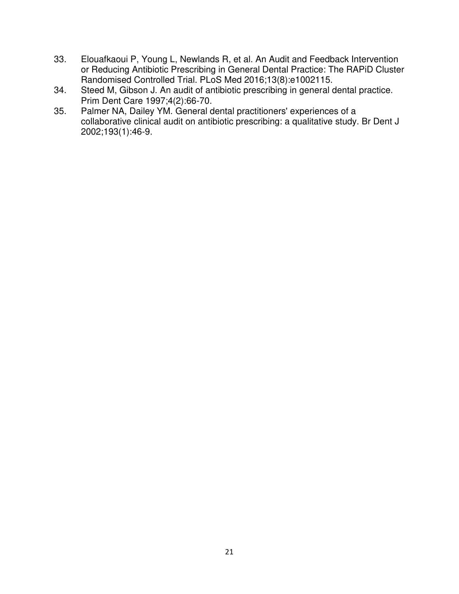- 33. Elouafkaoui P, Young L, Newlands R, et al. An Audit and Feedback Intervention or Reducing Antibiotic Prescribing in General Dental Practice: The RAPiD Cluster Randomised Controlled Trial. PLoS Med 2016;13(8):e1002115.
- 34. Steed M, Gibson J. An audit of antibiotic prescribing in general dental practice. Prim Dent Care 1997;4(2):66-70.
- 35. Palmer NA, Dailey YM. General dental practitioners' experiences of a collaborative clinical audit on antibiotic prescribing: a qualitative study. Br Dent J 2002;193(1):46-9.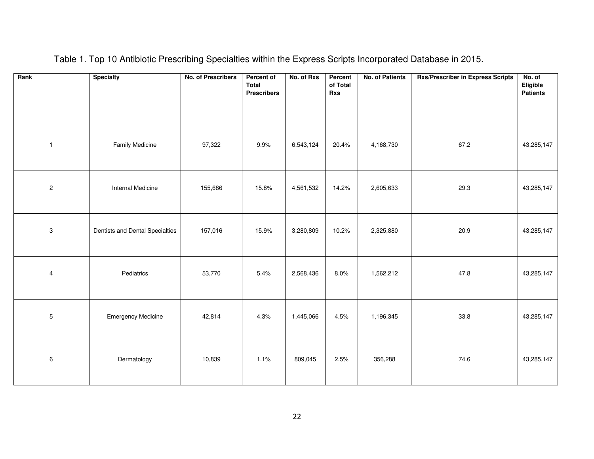| Rank                      | <b>Specialty</b>                | No. of Prescribers | Percent of<br><b>Total</b><br><b>Prescribers</b> | No. of Rxs | Percent<br>of Total<br>Rxs | <b>No. of Patients</b> | <b>Rxs/Prescriber in Express Scripts</b> | No. of<br>Eligible<br><b>Patients</b> |
|---------------------------|---------------------------------|--------------------|--------------------------------------------------|------------|----------------------------|------------------------|------------------------------------------|---------------------------------------|
| $\mathbf{1}$              | Family Medicine                 | 97,322             | 9.9%                                             | 6,543,124  | 20.4%                      | 4,168,730              | 67.2                                     | 43,285,147                            |
| $\sqrt{2}$                | Internal Medicine               | 155,686            | 15.8%                                            | 4,561,532  | 14.2%                      | 2,605,633              | 29.3                                     | 43,285,147                            |
| $\ensuremath{\mathsf{3}}$ | Dentists and Dental Specialties | 157,016            | 15.9%                                            | 3,280,809  | 10.2%                      | 2,325,880              | 20.9                                     | 43,285,147                            |
| $\overline{\mathbf{4}}$   | Pediatrics                      | 53,770             | 5.4%                                             | 2,568,436  | 8.0%                       | 1,562,212              | 47.8                                     | 43,285,147                            |
| 5                         | <b>Emergency Medicine</b>       | 42,814             | 4.3%                                             | 1,445,066  | 4.5%                       | 1,196,345              | 33.8                                     | 43,285,147                            |
| $\,6\,$                   | Dermatology                     | 10,839             | 1.1%                                             | 809,045    | 2.5%                       | 356,288                | 74.6                                     | 43,285,147                            |

Table 1. Top 10 Antibiotic Prescribing Specialties within the Express Scripts Incorporated Database in 2015.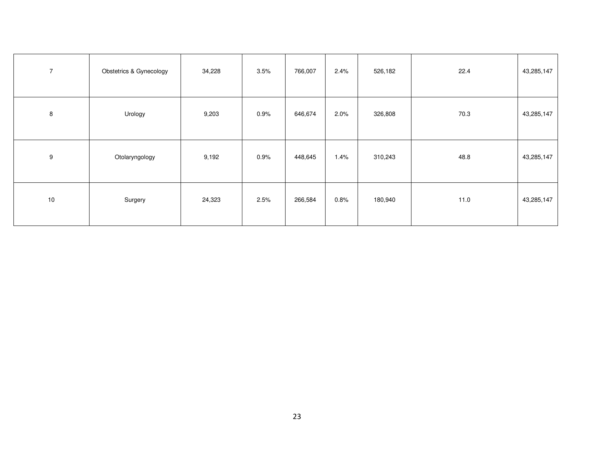| $\overline{7}$ | Obstetrics & Gynecology | 34,228 | 3.5% | 766,007 | 2.4% | 526,182 | 22.4 | 43,285,147 |
|----------------|-------------------------|--------|------|---------|------|---------|------|------------|
| 8              | Urology                 | 9,203  | 0.9% | 646,674 | 2.0% | 326,808 | 70.3 | 43,285,147 |
| 9              | Otolaryngology          | 9,192  | 0.9% | 448,645 | 1.4% | 310,243 | 48.8 | 43,285,147 |
| $10$           | Surgery                 | 24,323 | 2.5% | 266,584 | 0.8% | 180,940 | 11.0 | 43,285,147 |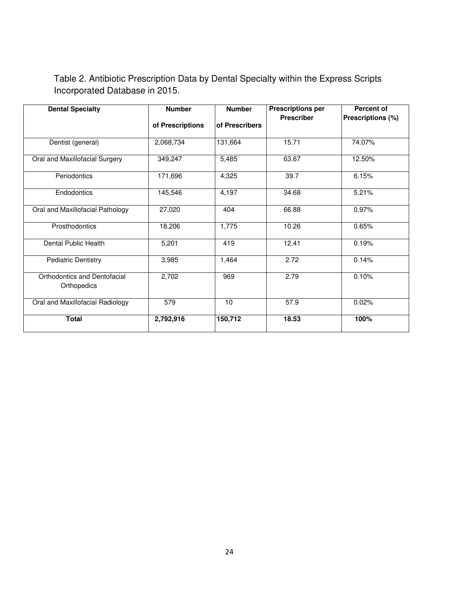Table 2. Antibiotic Prescription Data by Dental Specialty within the Express Scripts Incorporated Database in 2015.

| <b>Dental Specialty</b>                     | <b>Number</b>    | <b>Number</b>  | <b>Prescriptions per</b> | <b>Percent of</b> |  |
|---------------------------------------------|------------------|----------------|--------------------------|-------------------|--|
|                                             | of Prescriptions | of Prescribers | <b>Prescriber</b>        | Prescriptions (%) |  |
| Dentist (general)                           | 2,068,734        | 131,664        | 15.71                    | 74.07%            |  |
| Oral and Maxillofacial Surgery              | 349,247          | 5,485          | 63.67                    | 12.50%            |  |
| Periodontics                                | 171,696          | 4,325          | 39.7                     | 6.15%             |  |
| Endodontics                                 | 145,546          | 4,197          | 34.68                    | 5.21%             |  |
| Oral and Maxillofacial Pathology            | 27,020           | 404            | 66.88                    | 0.97%             |  |
| Prosthodontics                              | 18,206           | 1,775          | 10.26                    | 0.65%             |  |
| Dental Public Health                        | 5,201            | 419            | 12.41                    | 0.19%             |  |
| <b>Pediatric Dentistry</b>                  | 3,985            | 1,464          | 2.72                     | 0.14%             |  |
| Orthodontics and Dentofacial<br>Orthopedics | 2,702            | 969            | 2.79                     | 0.10%             |  |
| Oral and Maxillofacial Radiology            | 579              | 10             | 57.9                     | 0.02%             |  |
| <b>Total</b>                                | 2,792,916        | 150,712        | 18.53                    | 100%              |  |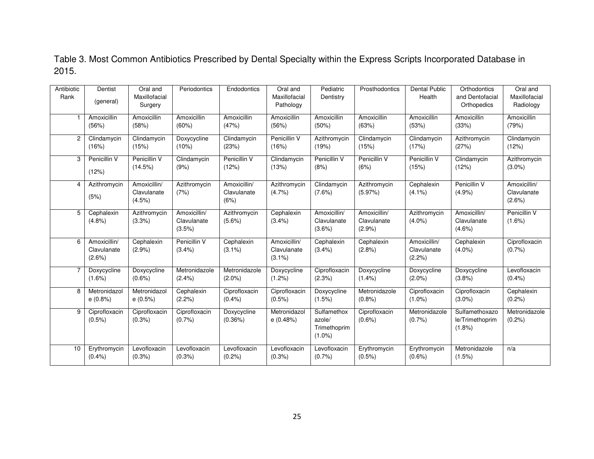Table 3. Most Common Antibiotics Prescribed by Dental Specialty within the Express Scripts Incorporated Database in 2015.

| Antibiotic<br>Rank | Dentist<br>(general)                  | Oral and<br>Maxillofacial<br>Surgery  | Periodontics                             | Endodontics                         | Oral and<br>Maxillofacial<br>Pathology   | Pediatric<br>Dentistry                             | Prosthodontics                       | <b>Dental Public</b><br>Health           | Orthodontics<br>and Dentofacial<br>Orthopedics | Oral and<br>Maxillofacial<br>Radiology   |
|--------------------|---------------------------------------|---------------------------------------|------------------------------------------|-------------------------------------|------------------------------------------|----------------------------------------------------|--------------------------------------|------------------------------------------|------------------------------------------------|------------------------------------------|
|                    | Amoxicillin<br>(56%)                  | Amoxicillin<br>(58%)                  | Amoxicillin<br>(60%)                     | Amoxicillin<br>(47%)                | Amoxicillin<br>(56%)                     | Amoxicillin<br>(50%)                               | Amoxicillin<br>(63%)                 | Amoxicillin<br>(53%)                     | Amoxicillin<br>(33%)                           | Amoxicillin<br>(79%)                     |
| $\mathbf{2}$       | Clindamycin<br>(16%)                  | Clindamycin<br>(15%)                  | Doxycycline<br>$(10\%)$                  | Clindamycin<br>(23%)                | Penicillin V<br>(16%)                    | Azithromycin<br>(19%)                              | Clindamycin<br>(15%)                 | Clindamycin<br>(17%)                     | Azithromycin<br>(27%)                          | Clindamycin<br>(12%)                     |
| 3                  | Penicillin V<br>(12%)                 | Penicillin V<br>(14.5%)               | Clindamycin<br>(9%)                      | Penicillin V<br>(12%)               | Clindamycin<br>(13%)                     | Penicillin V<br>(8%)                               | Penicillin V<br>(6%)                 | Penicillin V<br>(15%)                    | Clindamycin<br>(12%)                           | Azithromycin<br>$(3.0\%)$                |
| 4                  | Azithromycin<br>(5%)                  | Amoxicillin/<br>Clavulanate<br>(4.5%) | Azithromycin<br>(7%)                     | Amoxicillin/<br>Clavulanate<br>(6%) | Azithromycin<br>(4.7%                    | Clindamycin<br>$(7.6\%)$                           | Azithromycin<br>(5.97%)              | Cephalexin<br>$(4.1\%)$                  | Penicillin V<br>(4.9%                          | Amoxicillin/<br>Clavulanate<br>$(2.6\%)$ |
| 5                  | Cephalexin<br>(4.8%)                  | Azithromycin<br>(3.3%)                | Amoxicillin/<br>Clavulanate<br>$(3.5\%)$ | Azithromycin<br>$(5.6\%)$           | Cephalexin<br>(3.4%)                     | Amoxicillin/<br>Clavulanate<br>$(3.6\%)$           | Amoxicillin/<br>Clavulanate<br>(2.9% | Azithromycin<br>$(4.0\%)$                | Amoxicillin/<br>Clavulanate<br>$(4.6\%)$       | Penicillin V<br>$(1.6\%)$                |
| 6                  | Amoxicillin/<br>Clavulanate<br>(2.6%) | Cephalexin<br>(2.9%                   | Penicillin V<br>(3.4%)                   | Cephalexin<br>$(3.1\%)$             | Amoxicillin/<br>Clavulanate<br>$(3.1\%)$ | Cephalexin<br>(3.4% )                              | Cephalexin<br>(2.8%)                 | Amoxicillin/<br>Clavulanate<br>$(2.2\%)$ | Cephalexin<br>$(4.0\%)$                        | Ciprofloxacin<br>(0.7%                   |
| 7                  | Doxycycline<br>$(1.6\%)$              | Doxycycline<br>$(0.6\%)$              | Metronidazole<br>(2.4% )                 | Metronidazole<br>$(2.0\%)$          | Doxycycline<br>$(1.2\%)$                 | Ciprofloxacin<br>(2.3%)                            | Doxycycline<br>$(1.4\%)$             | Doxycycline<br>$(2.0\%)$                 | Doxycycline<br>(3.8%)                          | Levofloxacin<br>(0.4% )                  |
| 8                  | Metronidazol<br>e(0.8%)               | Metronidazol<br>e(0.5%)               | Cephalexin<br>$(2.2\%)$                  | Ciprofloxacin<br>$(0.4\%)$          | Ciprofloxacin<br>$(0.5\%)$               | Doxycycline<br>(1.5%)                              | Metronidazole<br>(0.8%               | Ciprofloxacin<br>$(1.0\%)$               | Ciprofloxacin<br>$(3.0\%)$                     | Cephalexin<br>(0.2%                      |
| 9                  | Ciprofloxacin<br>$(0.5\%)$            | Ciprofloxacin<br>$(0.3\%)$            | Ciprofloxacin<br>(0.7%                   | Doxycycline<br>(0.36%)              | Metronidazol<br>e(0.48%)                 | Sulfamethox<br>azole/<br>Trimethoprim<br>$(1.0\%)$ | Ciprofloxacin<br>$(0.6\%)$           | Metronidazole<br>(0.7%                   | Sulfamethoxazo<br>le/Trimethoprim<br>$(1.8\%)$ | Metronidazole<br>(0.2%                   |
| 10                 | Erythromycin<br>(0.4% )               | Levofloxacin<br>$(0.3\%)$             | Levofloxacin<br>$(0.3\%)$                | Levofloxacin<br>(0.2%               | Levofloxacin<br>(0.3%                    | Levofloxacin<br>(0.7%                              | Erythromycin<br>$(0.5\%)$            | Erythromycin<br>$(0.6\%)$                | Metronidazole<br>(1.5%)                        | n/a                                      |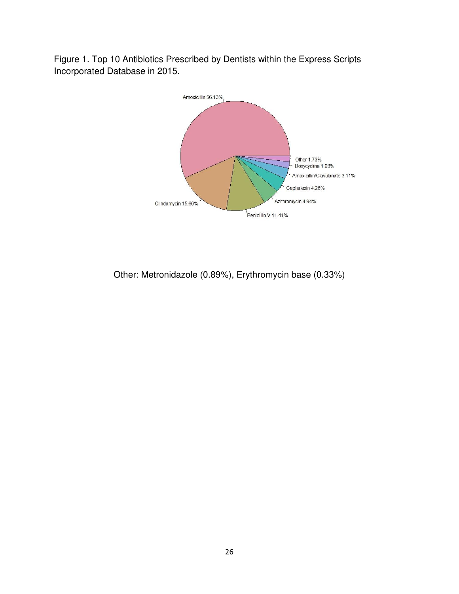Figure 1. Top 10 Antibiotics Prescribed by Dentists within the Express Scripts Incorporated Database in 2015.



Other: Metronidazole (0.89%), Erythromycin base (0.33%)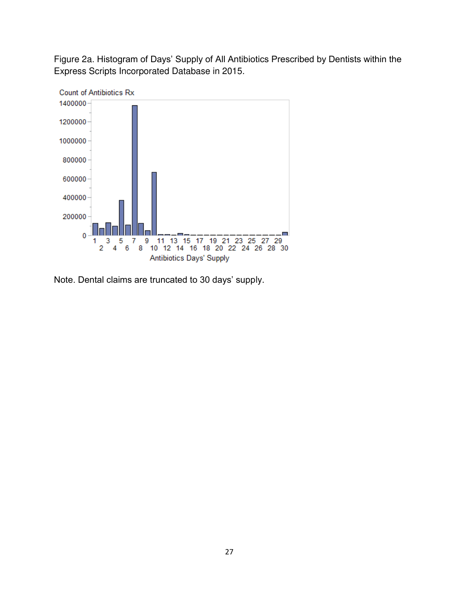Figure 2a. Histogram of Days' Supply of All Antibiotics Prescribed by Dentists within the Express Scripts Incorporated Database in 2015.



Note. Dental claims are truncated to 30 days' supply.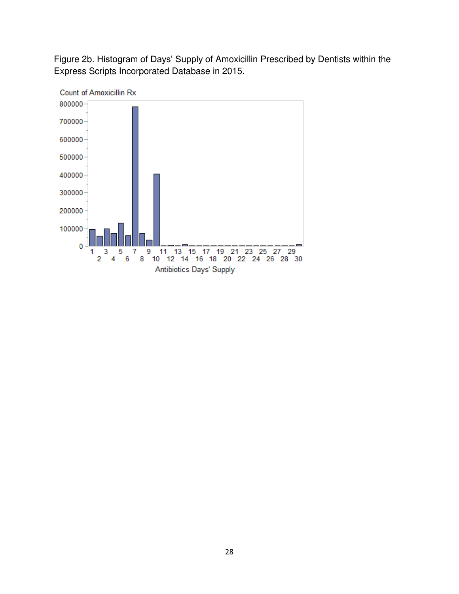Figure 2b. Histogram of Days' Supply of Amoxicillin Prescribed by Dentists within the Express Scripts Incorporated Database in 2015.

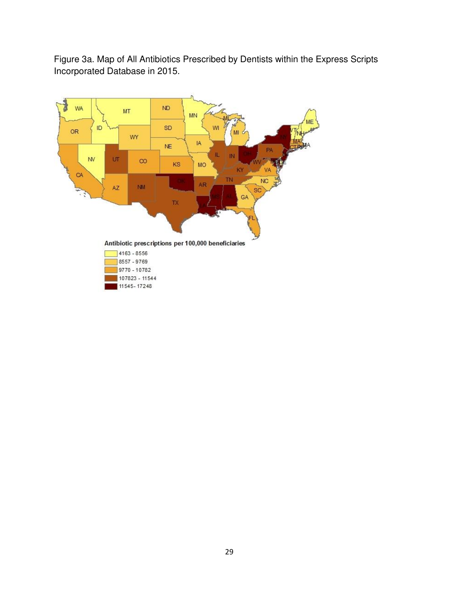Figure 3a. Map of All Antibiotics Prescribed by Dentists within the Express Scripts Incorporated Database in 2015.

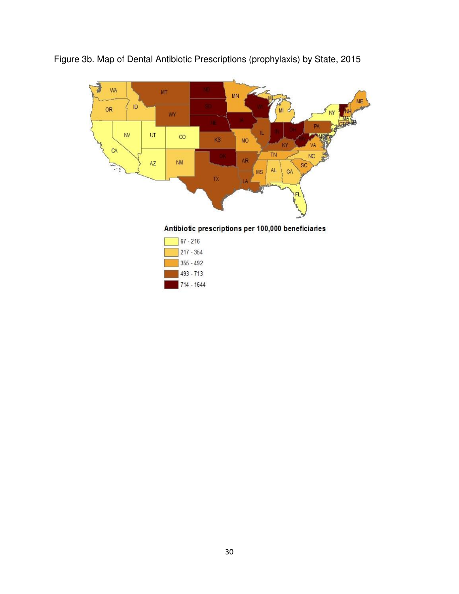

Figure 3b. Map of Dental Antibiotic Prescriptions (prophylaxis) by State, 2015

Antibiotic prescriptions per 100,000 beneficiaries

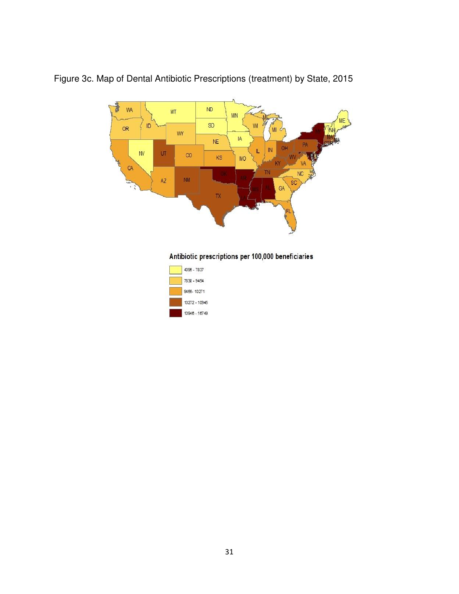

Figure 3c. Map of Dental Antibiotic Prescriptions (treatment) by State, 2015



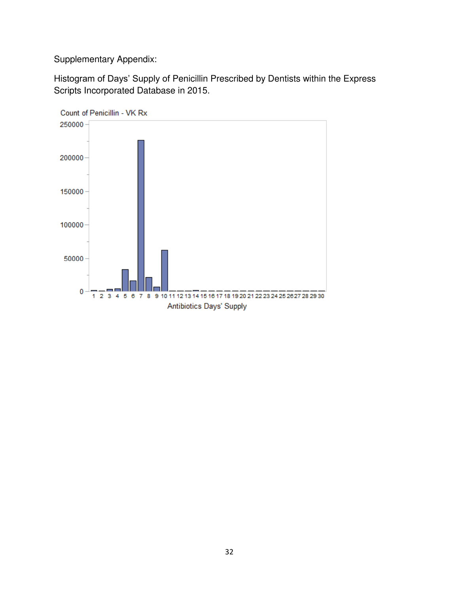Supplementary Appendix:

Histogram of Days' Supply of Penicillin Prescribed by Dentists within the Express Scripts Incorporated Database in 2015.

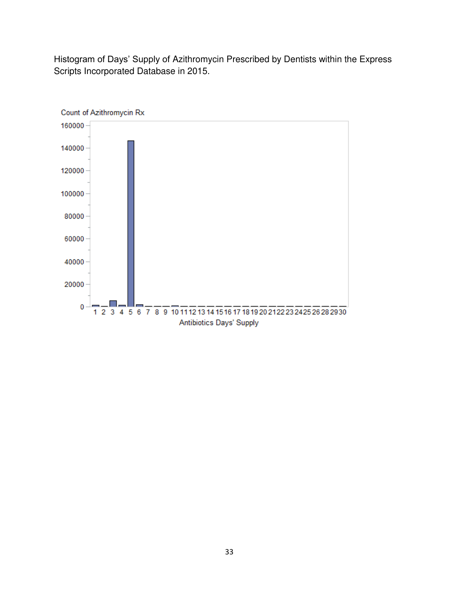Histogram of Days' Supply of Azithromycin Prescribed by Dentists within the Express Scripts Incorporated Database in 2015.

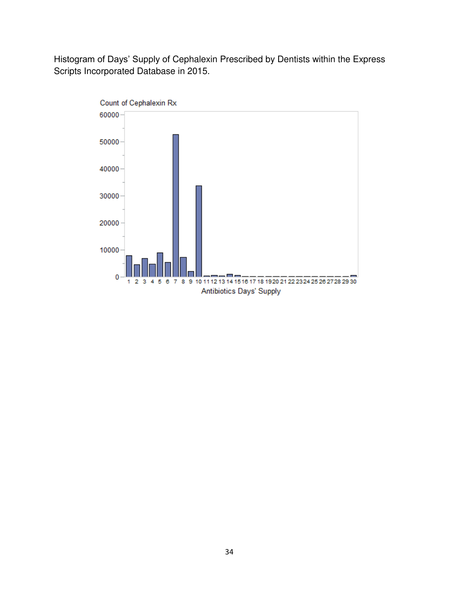Histogram of Days' Supply of Cephalexin Prescribed by Dentists within the Express Scripts Incorporated Database in 2015.